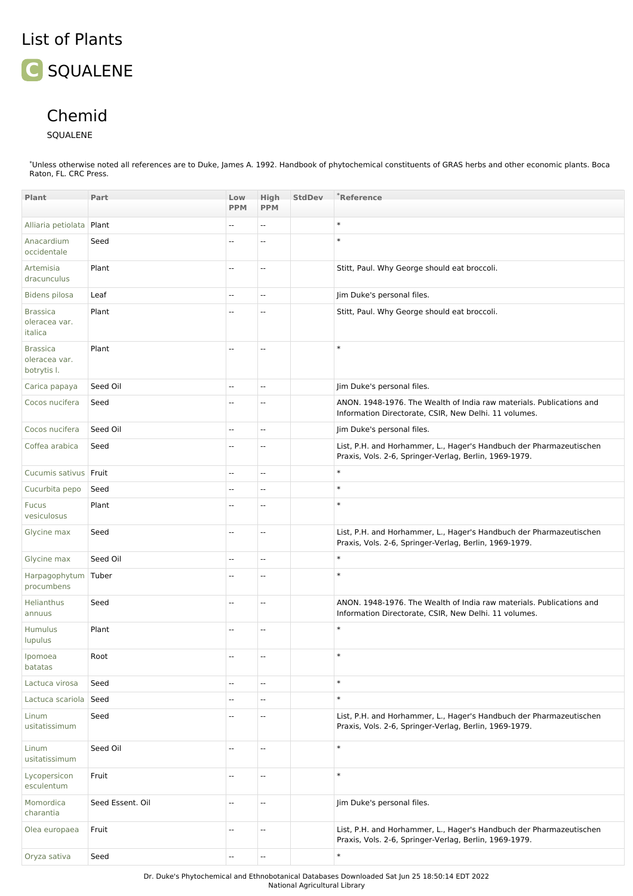## List of Plants

## **C** SQUALENE

## Chemid

## SQUALENE

\*Unless otherwise noted all references are to Duke, James A. 1992. Handbook of phytochemical constituents of GRAS herbs and other economic plants. Boca Raton, FL. CRC Press.

| Plant                                           | Part             | Low<br><b>PPM</b>        | <b>High</b><br><b>PPM</b> | <b>StdDev</b> | $^*$ Reference                                                                                                                |
|-------------------------------------------------|------------------|--------------------------|---------------------------|---------------|-------------------------------------------------------------------------------------------------------------------------------|
| Alliaria petiolata                              | Plant            | u.                       | Щ,                        |               | $\ast$                                                                                                                        |
| Anacardium<br>occidentale                       | Seed             | --                       | --                        |               | $\ast$                                                                                                                        |
| Artemisia<br>dracunculus                        | Plant            | $\overline{\phantom{a}}$ | $\overline{\phantom{a}}$  |               | Stitt, Paul. Why George should eat broccoli.                                                                                  |
| <b>Bidens pilosa</b>                            | Leaf             | u.                       | $\sim$                    |               | Jim Duke's personal files.                                                                                                    |
| <b>Brassica</b><br>oleracea var.<br>italica     | Plant            | --                       | --                        |               | Stitt, Paul. Why George should eat broccoli.                                                                                  |
| <b>Brassica</b><br>oleracea var.<br>botrytis I. | Plant            | --                       | --                        |               | $\ast$                                                                                                                        |
| Carica papaya                                   | Seed Oil         | $\overline{\phantom{a}}$ | --                        |               | Jim Duke's personal files.                                                                                                    |
| Cocos nucifera                                  | Seed             | $\cdots$                 | $-$                       |               | ANON. 1948-1976. The Wealth of India raw materials. Publications and<br>Information Directorate, CSIR, New Delhi. 11 volumes. |
| Cocos nucifera                                  | Seed Oil         | Ξ.                       | $\sim$                    |               | Jim Duke's personal files.                                                                                                    |
| Coffea arabica                                  | Seed             | --                       | --                        |               | List, P.H. and Horhammer, L., Hager's Handbuch der Pharmazeutischen<br>Praxis, Vols. 2-6, Springer-Verlag, Berlin, 1969-1979. |
| Cucumis sativus   Fruit                         |                  | --                       | --                        |               | $\ast$                                                                                                                        |
| Cucurbita pepo                                  | Seed             | --                       | --                        |               | $\ast$                                                                                                                        |
| <b>Fucus</b><br>vesiculosus                     | Plant            | --                       | --                        |               | $\ast$                                                                                                                        |
| Glycine max                                     | Seed             | --                       | --                        |               | List, P.H. and Horhammer, L., Hager's Handbuch der Pharmazeutischen<br>Praxis, Vols. 2-6, Springer-Verlag, Berlin, 1969-1979. |
| Glycine max                                     | Seed Oil         | $\cdots$                 | --                        |               | $\ast$                                                                                                                        |
| Harpagophytum Tuber<br>procumbens               |                  | --                       | --                        |               | $\ast$                                                                                                                        |
| Helianthus<br>annuus                            | Seed             | --                       | Ξ.                        |               | ANON. 1948-1976. The Wealth of India raw materials. Publications and<br>Information Directorate, CSIR, New Delhi. 11 volumes. |
| Humulus<br>lupulus                              | Plant            | --                       | --                        |               | $\ast$                                                                                                                        |
| Ipomoea<br>batatas                              | Root             | --                       | --                        |               | $\ast$                                                                                                                        |
| Lactuca virosa                                  | Seed             | --                       | --                        |               | $\ast$                                                                                                                        |
| Lactuca scariola Seed                           |                  | --                       | --                        |               | $\ast$                                                                                                                        |
| Linum<br>usitatissimum                          | Seed             | --                       | --                        |               | List, P.H. and Horhammer, L., Hager's Handbuch der Pharmazeutischen<br>Praxis, Vols. 2-6, Springer-Verlag, Berlin, 1969-1979. |
| Linum<br>usitatissimum                          | Seed Oil         | --                       | --                        |               | $\ast$                                                                                                                        |
| Lycopersicon<br>esculentum                      | Fruit            | --                       | --                        |               | $\ast$                                                                                                                        |
| Momordica<br>charantia                          | Seed Essent. Oil | Ξ.                       | --                        |               | Jim Duke's personal files.                                                                                                    |
| Olea europaea                                   | Fruit            | --                       | Ξ.                        |               | List, P.H. and Horhammer, L., Hager's Handbuch der Pharmazeutischen<br>Praxis, Vols. 2-6, Springer-Verlag, Berlin, 1969-1979. |
| Oryza sativa                                    | Seed             | Ξ.                       | $\overline{\phantom{a}}$  |               | $\ast$                                                                                                                        |